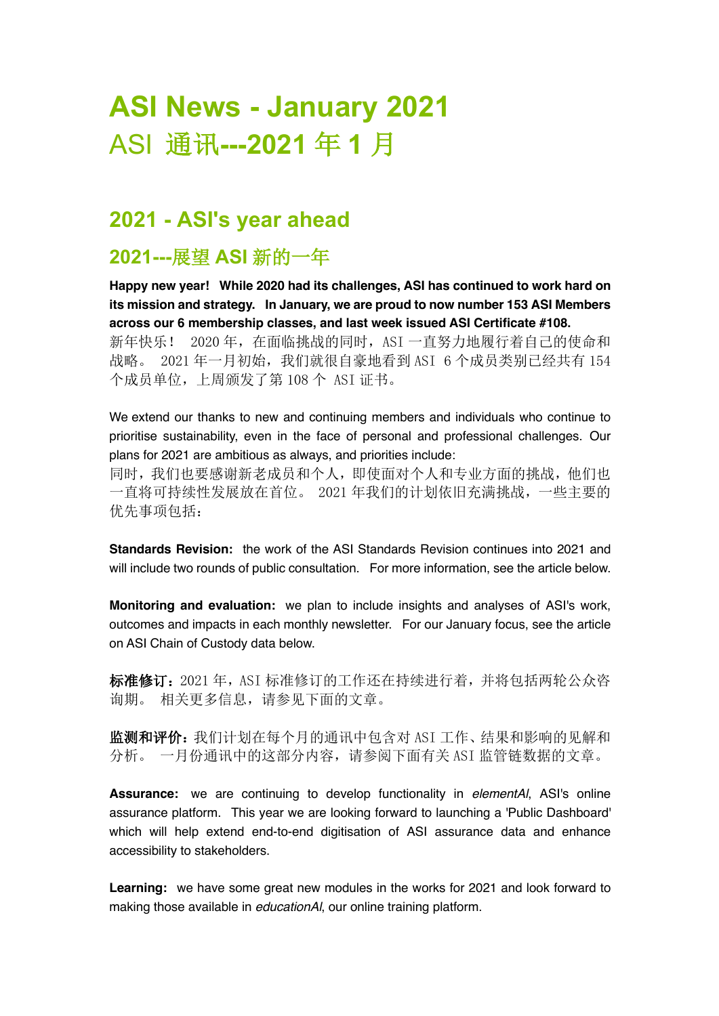# **ASI News - January 2021** ASI 通讯**---2021** 年 **1** 月

### **2021 - ASI's year ahead**

### **2021---**展望 **ASI** 新的一年

**Happy new year! While 2020 had its challenges, ASI has continued to work hard on its mission and strategy. In January, we are proud to now number 153 ASI Members across our 6 membership classes, and last week issued ASI Certificate #108.** 新年快乐! 2020年, 在面临挑战的同时, ASI 一直努力地履行着自己的使命和 战略。 2021 年一月初始, 我们就很自豪地看到 ASI 6 个成员类别已经共有 154 个成员单位,上周颁发了第 108 个 ASI 证书。

We extend our thanks to new and continuing members and individuals who continue to prioritise sustainability, even in the face of personal and professional challenges. Our plans for 2021 are ambitious as always, and priorities include:

同时,我们也要感谢新老成员和个人,即使面对个人和专业方面的挑战,他们也 一直将可持续性发展放在首位。 2021 年我们的计划依旧充满挑战,一些主要的 优先事项包括:

**Standards Revision:** the work of the ASI Standards Revision continues into 2021 and will include two rounds of public consultation. For more information, see the article below.

**Monitoring and evaluation:** we plan to include insights and analyses of ASI's work, outcomes and impacts in each monthly newsletter. For our January focus, see the article on ASI Chain of Custody data below.

标准修订: 2021 年, ASI 标准修订的工作还在持续进行着, 并将包括两轮公众咨 询期。 相关更多信息,请参见下面的文章。

监测和评价:我们计划在每个月的通讯中包含对 ASI 工作、结果和影响的见解和 分析。 一月份通讯中的这部分内容,请参阅下面有关 ASI 监管链数据的文章。

**Assurance:** we are continuing to develop functionality in *elementAl*, ASI's online assurance platform. This year we are looking forward to launching a 'Public Dashboard' which will help extend end-to-end digitisation of ASI assurance data and enhance accessibility to stakeholders.

**Learning:** we have some great new modules in the works for 2021 and look forward to making those available in *educationAl*, our online training platform.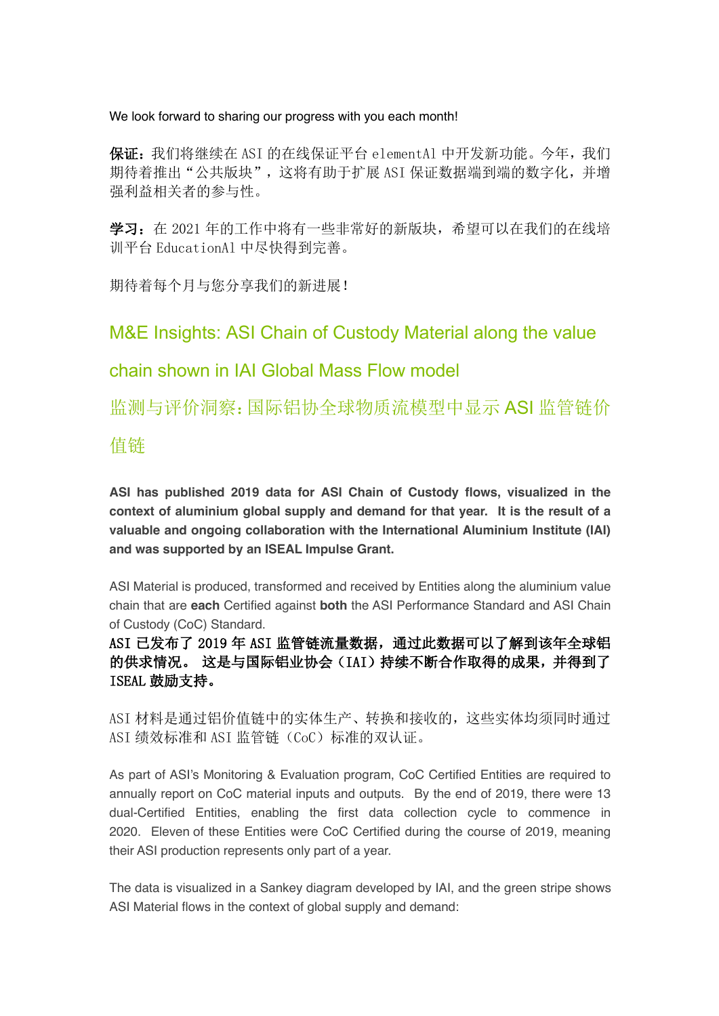We look forward to sharing our progress with you each month!

保证:我们将继续在 ASI 的在线保证平台 elementAl 中开发新功能。今年,我们 期待着推出"公共版块",这将有助于扩展 ASI 保证数据端到端的数字化,并增 强利益相关者的参与性。

学习: 在 2021 年的工作中将有一些非常好的新版块,希望可以在我们的在线培 训平台 EducationAl 中尽快得到完善。

期待着每个月与您分享我们的新进展!

M&E Insights: ASI Chain of Custody Material along the value

### chain shown in IAI Global Mass Flow model

监测与评价洞察:国际铝协全球物质流模型中显示 ASI 监管链价

值链

**ASI has published 2019 data for ASI Chain of Custody flows, visualized in the context of aluminium global supply and demand for that year. It is the result of a valuable and ongoing collaboration with the International Aluminium Institute (IAI) and was supported by an ISEAL Impulse Grant.**

ASI Material is produced, transformed and received by Entities along the aluminium value chain that are **each** Certified against **both** the ASI Performance Standard and ASI Chain of Custody (CoC) Standard.

ASI 已发布了 2019 年 ASI 监管链流量数据, 通过此数据可以了解到该年全球铝 的供求情况。 这是与国际铝业协会(IAI)持续不断合作取得的成果,并得到了 ISEAL 鼓励支持。

ASI 材料是通过铝价值链中的实体生产、转换和接收的,这些实体均须同时通过 ASI 绩效标准和 ASI 监管链(CoC)标准的双认证。

As part of ASI's Monitoring & Evaluation program, CoC Certified Entities are required to annually report on CoC material inputs and outputs. By the end of 2019, there were 13 dual-Certified Entities, enabling the first data collection cycle to commence in 2020. Eleven of these Entities were CoC Certified during the course of 2019, meaning their ASI production represents only part of a year.

The data is visualized in a Sankey diagram developed by IAI, and the green stripe shows ASI Material flows in the context of global supply and demand: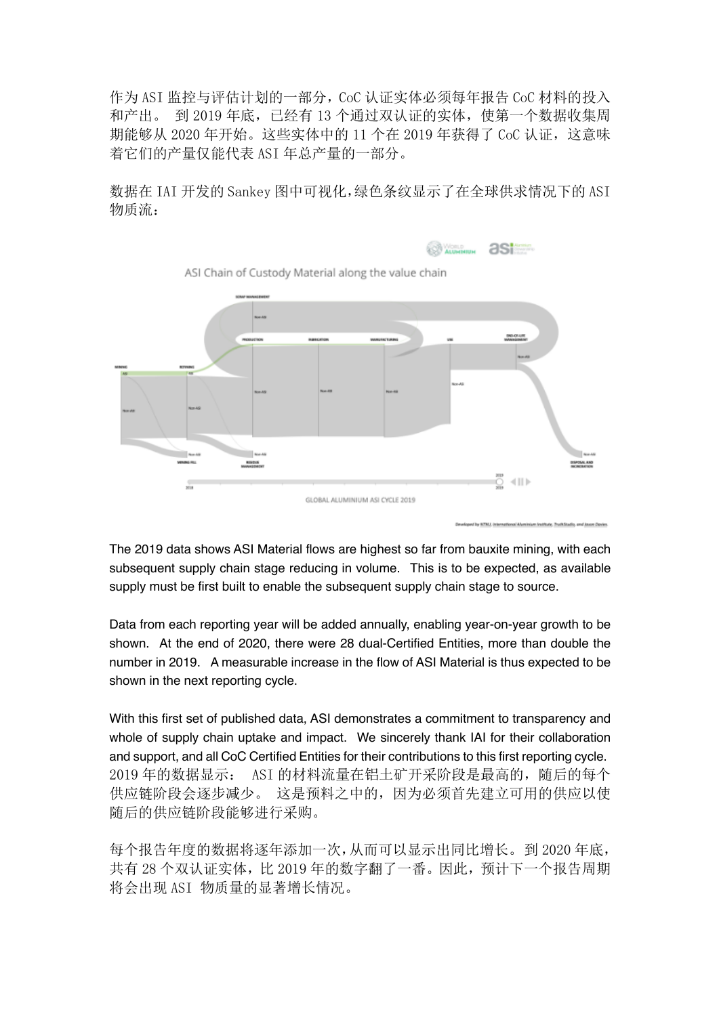作为 ASI 监控与评估计划的一部分,CoC 认证实体必须每年报告 CoC 材料的投入 和产出。 到 2019 年底,已经有 13 个通过双认证的实体,使第一个数据收集周 期能够从 2020 年开始。这些实体中的 11 个在 2019 年获得了 CoC 认证, 这意味 着它们的产量仅能代表 ASI 年总产量的一部分。

数据在 IAI 开发的 Sankey 图中可视化,绿色条纹显示了在全球供求情况下的 ASI 物质流:



The 2019 data shows ASI Material flows are highest so far from bauxite mining, with each subsequent supply chain stage reducing in volume. This is to be expected, as available supply must be first built to enable the subsequent supply chain stage to source.

Data from each reporting year will be added annually, enabling year-on-year growth to be shown. At the end of 2020, there were 28 dual-Certified Entities, more than double the number in 2019. A measurable increase in the flow of ASI Material is thus expected to be shown in the next reporting cycle.

With this first set of published data, ASI demonstrates a commitment to transparency and whole of supply chain uptake and impact. We sincerely thank IAI for their collaboration and support, and all CoC Certified Entities for their contributions to this first reporting cycle. 2019 年的数据显示: ASI 的材料流量在铝土矿开采阶段是最高的,随后的每个 供应链阶段会逐步减少。 这是预料之中的,因为必须首先建立可用的供应以使 随后的供应链阶段能够进行采购。

每个报告年度的数据将逐年添加一次,从而可以显示出同比增长。到 2020 年底, 共有 28 个双认证实体,比 2019 年的数字翻了一番。因此,预计下一个报告周期 将会出现 ASI 物质量的显著增长情况。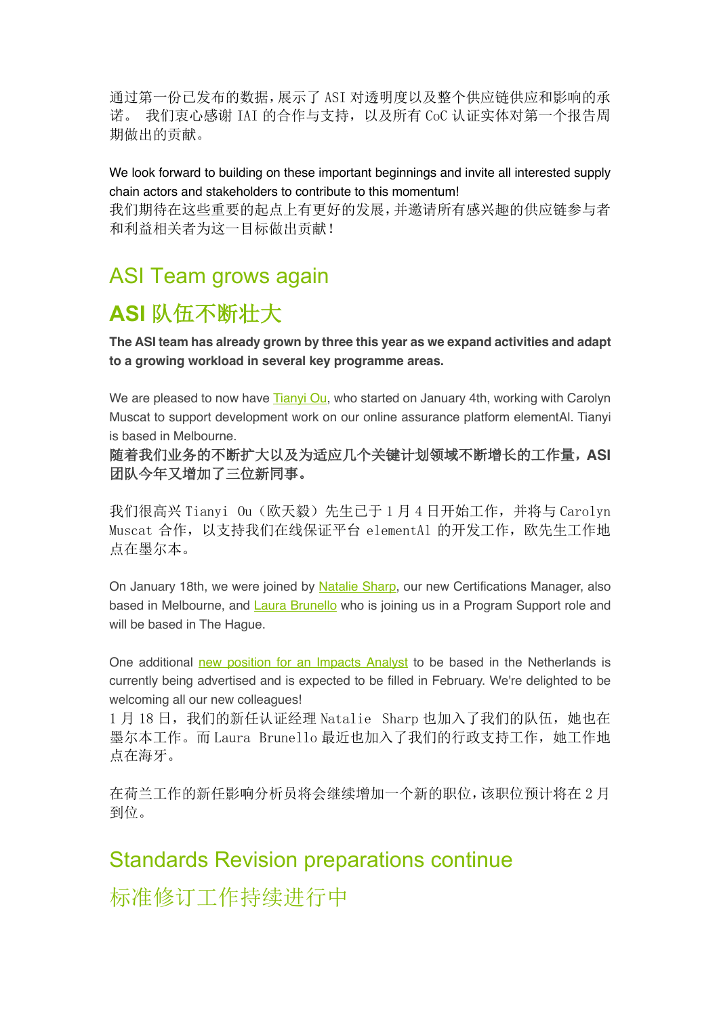通过第一份已发布的数据,展示了 ASI 对透明度以及整个供应链供应和影响的承 诺。 我们衷心感谢 IAI 的合作与支持,以及所有 CoC 认证实体对第一个报告周 期做出的贡献。

We look forward to building on these important beginnings and invite all interested supply chain actors and stakeholders to contribute to this momentum!

我们期待在这些重要的起点上有更好的发展,并邀请所有感兴趣的供应链参与者 和利益相关者为这一目标做出贡献!

## ASI Team grows again

# **ASI** 队伍不断壮大

**The ASI team has already grown by three this year as we expand activities and adapt to a growing workload in several key programme areas.** 

We are pleased to now have Tianyi Ou, who started on January 4th, working with Carolyn Muscat to support development work on our online assurance platform elementAl. Tianyi is based in Melbourne.

随着我们业务的不断扩大以及为适应几个关键计划领域不断增长的工作量,**ASI** 团队今年又增加了三位新同事。

我们很高兴 Tianvi Ou (欧天毅) 先生已干 1 月 4 日开始工作, 并将与 Carolyn Muscat 合作,以支持我们在线保证平台 elementAl 的开发工作,欧先生工作地 点在墨尔本。

On January 18th, we were joined by Natalie Sharp, our new Certifications Manager, also based in Melbourne, and Laura Brunello who is joining us in a Program Support role and will be based in The Hague.

One additional new position for an Impacts Analyst to be based in the Netherlands is currently being advertised and is expected to be filled in February. We're delighted to be welcoming all our new colleagues!

1月18日,我们的新任认证经理 Natalie Sharp 也加入了我们的队伍,她也在 墨尔本工作。而 Laura Brunello 最近也加入了我们的行政支持工作,她工作地 点在海牙。

在荷兰工作的新任影响分析员将会继续增加一个新的职位,该职位预计将在 2 月 到位。

## Standards Revision preparations continue

标准修订工作持续进行中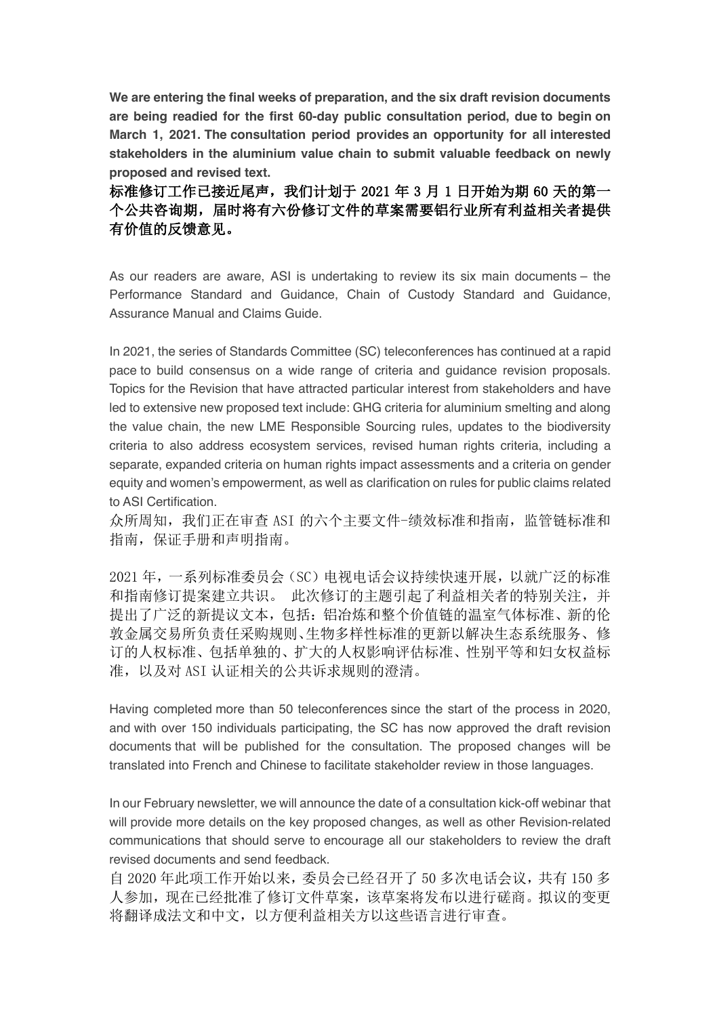**We are entering the final weeks of preparation, and the six draft revision documents are being readied for the first 60-day public consultation period, due to begin on March 1, 2021. The consultation period provides an opportunity for all interested stakeholders in the aluminium value chain to submit valuable feedback on newly proposed and revised text.**

标准修订工作已接近尾声,我们计划于 2021 年 3 月 1 日开始为期 60 天的第一 个公共咨询期,届时将有六份修订文件的草案需要铝行业所有利益相关者提供 有价值的反馈意见。

As our readers are aware, ASI is undertaking to review its six main documents – the Performance Standard and Guidance, Chain of Custody Standard and Guidance, Assurance Manual and Claims Guide.

In 2021, the series of Standards Committee (SC) teleconferences has continued at a rapid pace to build consensus on a wide range of criteria and guidance revision proposals. Topics for the Revision that have attracted particular interest from stakeholders and have led to extensive new proposed text include: GHG criteria for aluminium smelting and along the value chain, the new LME Responsible Sourcing rules, updates to the biodiversity criteria to also address ecosystem services, revised human rights criteria, including a separate, expanded criteria on human rights impact assessments and a criteria on gender equity and women's empowerment, as well as clarification on rules for public claims related to ASI Certification.

众所周知,我们正在审查 ASI 的六个主要文件-绩效标准和指南,监管链标准和 指南,保证手册和声明指南。

2021 年,一系列标准委员会(SC)电视电话会议持续快速开展,以就广泛的标准 和指南修订提案建立共识。 此次修订的主题引起了利益相关者的特别关注,并 提出了广泛的新提议文本,包括:铝冶炼和整个价值链的温室气体标准、新的伦 敦金属交易所负责任采购规则、生物多样性标准的更新以解决生态系统服务、修 订的人权标准、包括单独的、扩大的人权影响评估标准、性别平等和妇女权益标 准, 以及对 ASI 认证相关的公共诉求规则的澄清。

Having completed more than 50 teleconferences since the start of the process in 2020, and with over 150 individuals participating, the SC has now approved the draft revision documents that will be published for the consultation. The proposed changes will be translated into French and Chinese to facilitate stakeholder review in those languages.

In our February newsletter, we will announce the date of a consultation kick-off webinar that will provide more details on the key proposed changes, as well as other Revision-related communications that should serve to encourage all our stakeholders to review the draft revised documents and send feedback.

自 2020 年此项工作开始以来,委员会已经召开了 50 多次电话会议,共有 150 多 人参加,现在已经批准了修订文件草案,该草案将发布以进行磋商。拟议的变更 将翻译成法文和中文,以方便利益相关方以这些语言进行审查。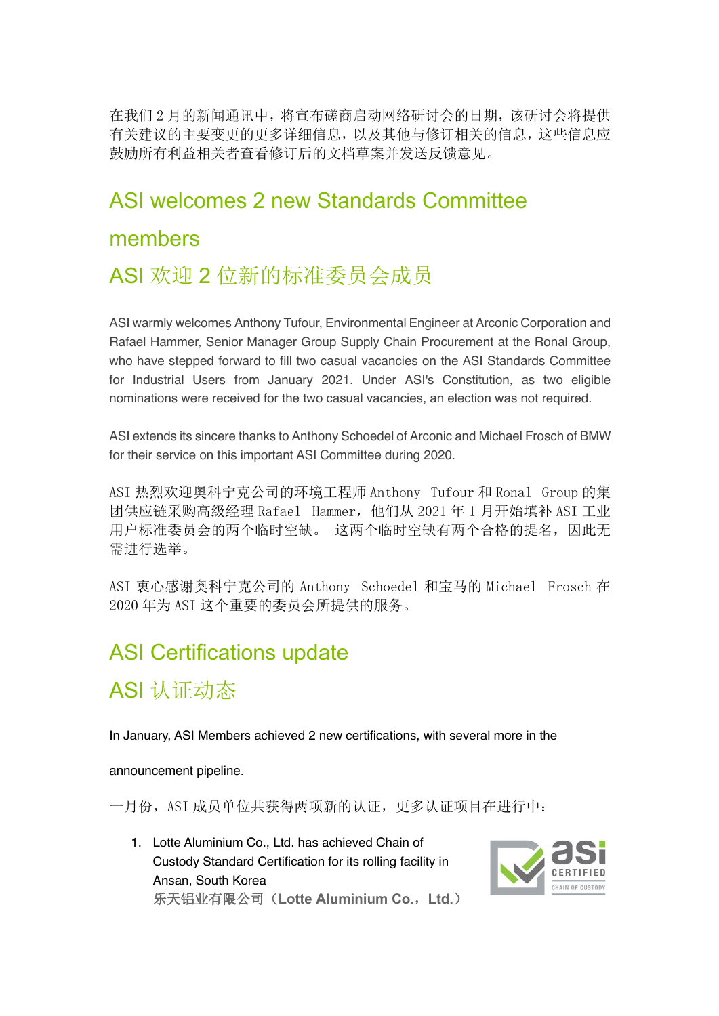在我们 2 月的新闻通讯中,将宣布磋商启动网络研讨会的日期,该研讨会将提供 有关建议的主要变更的更多详细信息,以及其他与修订相关的信息,这些信息应 鼓励所有利益相关者查看修订后的文档草案并发送反馈意见。

## ASI welcomes 2 new Standards Committee

### members

## ASI 欢迎 2 位新的标准委员会成员

ASI warmly welcomes Anthony Tufour, Environmental Engineer at Arconic Corporation and Rafael Hammer, Senior Manager Group Supply Chain Procurement at the Ronal Group, who have stepped forward to fill two casual vacancies on the ASI Standards Committee for Industrial Users from January 2021. Under ASI's Constitution, as two eligible nominations were received for the two casual vacancies, an election was not required.

ASI extends its sincere thanks to Anthony Schoedel of Arconic and Michael Frosch of BMW for their service on this important ASI Committee during 2020.

ASI 热烈欢迎奥科宁克公司的环境工程师 Anthony Tufour 和 Ronal Group 的集 团供应链采购高级经理 Rafael Hammer,他们从 2021 年 1 月开始填补 ASI 工业 用户标准委员会的两个临时空缺。 这两个临时空缺有两个合格的提名,因此无 需进行选举。

ASI 衷心感谢奥科宁克公司的 Anthony Schoedel 和宝马的 Michael Frosch 在 2020 年为 ASI 这个重要的委员会所提供的服务。

## ASI Certifications update

ASI 认证动态

In January, ASI Members achieved 2 new certifications, with several more in the

announcement pipeline.

一月份, ASI 成员单位共获得两项新的认证,更多认证项目在进行中:

1. Lotte Aluminium Co., Ltd. has achieved Chain of Custody Standard Certification for its rolling facility in Ansan, South Korea 乐天铝业有限公司(**Lotte Aluminium Co.**,**Ltd.**)

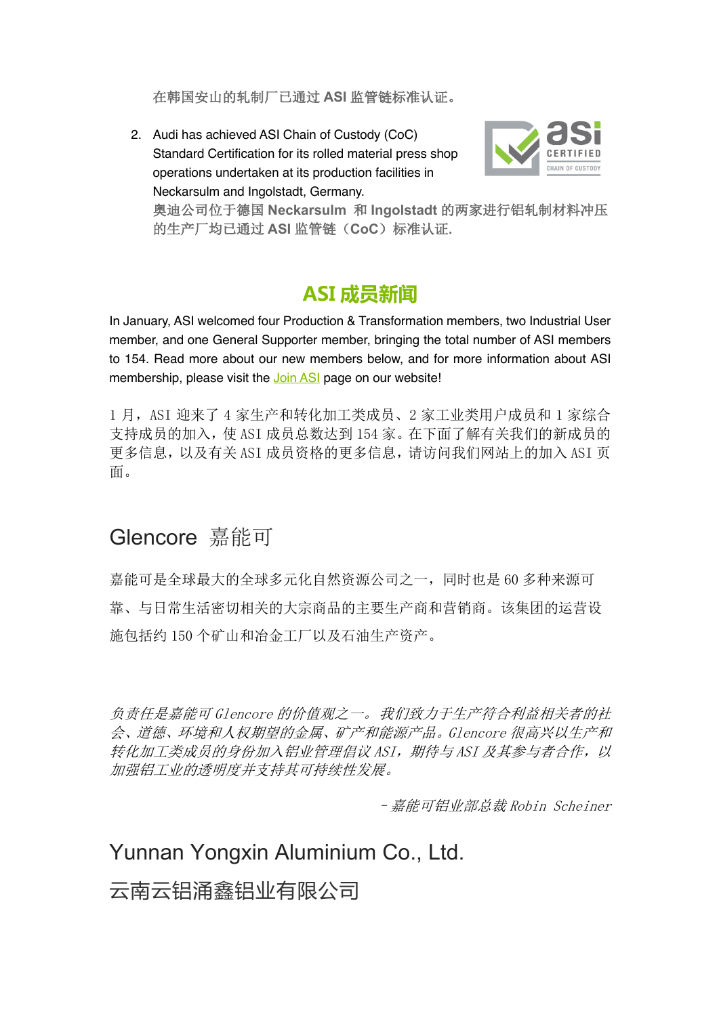在韩国安山的轧制厂已通过 **ASI** 监管链标准认证。

2. Audi has achieved ASI Chain of Custody (CoC) Standard Certification for its rolled material press shop operations undertaken at its production facilities in Neckarsulm and Ingolstadt, Germany.



奥迪公司位于德国 **Neckarsulm** 和 **Ingolstadt** 的两家进行铝轧制材料冲压 的生产厂均已通过 **ASI** 监管链(**CoC**)标准认证**.**

### **ASI 成员新闻**

In January, ASI welcomed four Production & Transformation members, two Industrial User member, and one General Supporter member, bringing the total number of ASI members to 154. Read more about our new members below, and for more information about ASI membership, please visit the Join ASI page on our website!

1 月, ASI 迎来了 4 家生产和转化加工类成员、2 家工业类用户成员和 1 家综合 支持成员的加入,使 ASI 成员总数达到 154 家。在下面了解有关我们的新成员的 更多信息,以及有关 ASI 成员资格的更多信息,请访问我们网站上的加入 ASI 页 面。

## Glencore 嘉能可

嘉能可是全球最大的全球多元化自然资源公司之一,同时也是 60 多种来源可 靠、与日常生活密切相关的大宗商品的主要生产商和营销商。该集团的运营设 施包括约 150 个矿山和冶金工厂以及石油生产资产。

负责任是嘉能可 Glencore 的价值观之一。我们致力于生产符合利益相关者的社 会、道德、环境和人权期望的金属、矿产和能源产品。Glencore 很高兴以生产和 转化加工类成员的身份加入铝业管理倡议 ASI, 期待与 ASI 及其参与者合作, 以 加强铝工业的透明度并支持其可持续性发展。

–嘉能可铝业部总裁 Robin Scheiner

### Yunnan Yongxin Aluminium Co., Ltd.

云南云铝涌鑫铝业有限公司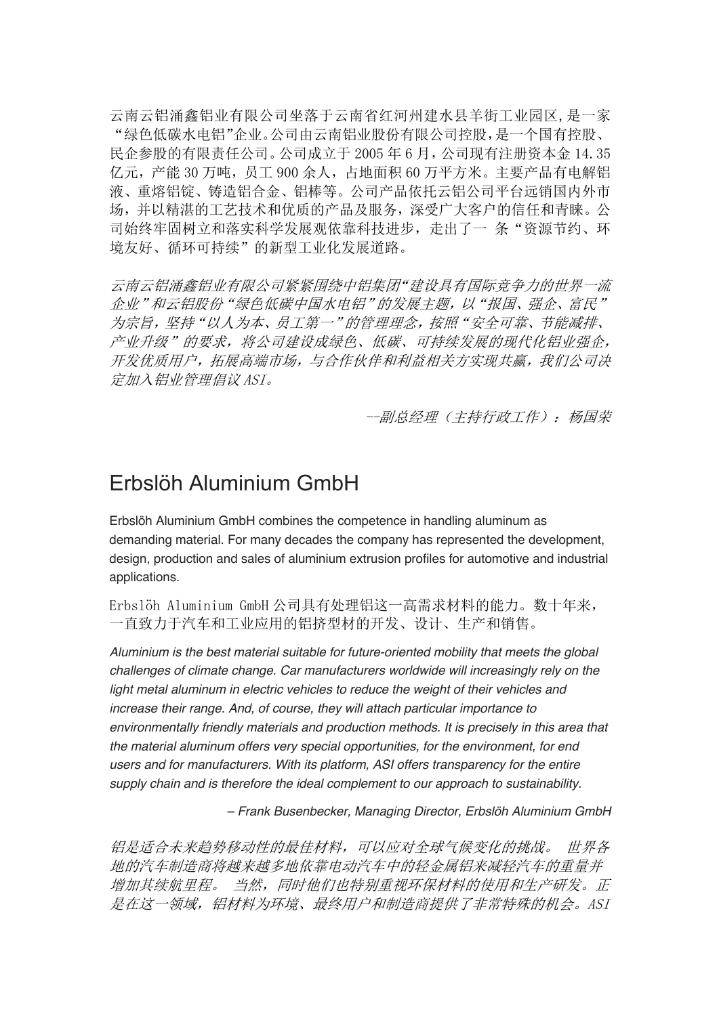云南云铝涌鑫铝业有限公司坐落于云南省红河州建水县羊街工业园区,是一家 "绿色低碳水电铝"企业。公司由云南铝业股份有限公司控股,是一个国有控股、 民企参股的有限责任公司。公司成立于 2005 年 6 月,公司现有注册资本金 14.35 亿元,产能 30 万吨,员工 900 余人,占地面积 60 万平方米。主要产品有电解铝 液、重熔铝锭、铸造铝合金、铝棒等。公司产品依托云铝公司平台远销国内外市 场,并以精湛的工艺技术和优质的产品及服务,深受广大客户的信任和青睐。公 司始终牢固树立和落实科学发展观依靠科技进步,走出了一 条"资源节约、环 境友好、循环可持续"的新型工业化发展道路。

云南云铝涌鑫铝业有限公司紧紧围绕中铝集团"建设具有国际竞争力的世界一流 企业"和云铝股份"绿色低碳中国水电铝"的发展主题,以"报国、强企、富民" 为宗旨,坚持"以人为本、员工第一"的管理理念,按照"安全可靠、节能减排、 产业升级"的要求,将公司建设成绿色、低碳、可持续发展的现代化铝业强企, 开发优质用户,拓展高端市场,与合作伙伴和利益相关方实现共赢,我们公司决 定加入铝业管理倡议 ASI。

--副总经理(主持行政工作):杨国荣

### Erbslöh Aluminium GmbH

Erbslöh Aluminium GmbH combines the competence in handling aluminum as demanding material. For many decades the company has represented the development, design, production and sales of aluminium extrusion profiles for automotive and industrial applications.

Erbslöh Aluminium GmbH 公司具有处理铝这一高需求材料的能力。数十年来, 一直致力于汽车和工业应用的铝挤型材的开发、设计、生产和销售。

*Aluminium is the best material suitable for future-oriented mobility that meets the global challenges of climate change. Car manufacturers worldwide will increasingly rely on the*  light metal aluminum in electric vehicles to reduce the weight of their vehicles and *increase their range. And, of course, they will attach particular importance to environmentally friendly materials and production methods. It is precisely in this area that the material aluminum offers very special opportunities, for the environment, for end users and for manufacturers. With its platform, ASI offers transparency for the entire supply chain and is therefore the ideal complement to our approach to sustainability.* 

*– Frank Busenbecker, Managing Director, Erbslöh Aluminium GmbH*

铝是适合未来趋势移动性的最佳材料,可以应对全球气候变化的挑战。 世界各 地的汽车制造商将越来越多地依靠电动汽车中的轻金属铝来减轻汽车的重量并 增加其续航里程。 当然,同时他们也特别重视环保材料的使用和生产研发。正 是在这一领域,铝材料为环境、最终用户和制造商提供了非常特殊的机会。ASI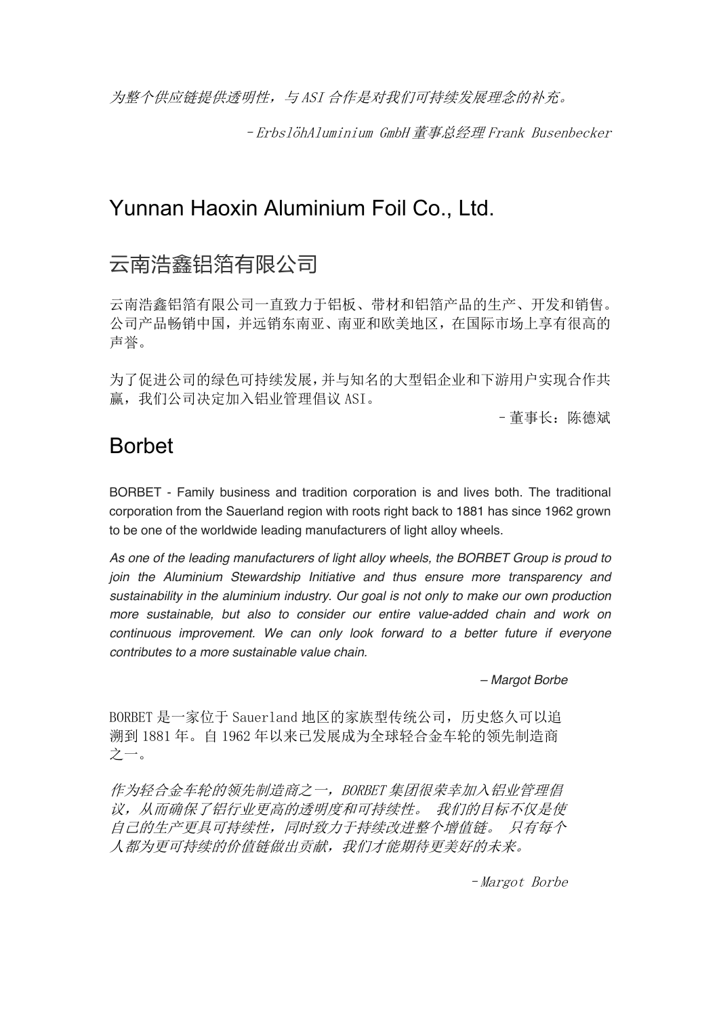为整个供应链提供透明性,与 ASI 合作是对我们可持续发展理念的补充。

–ErbslöhAluminium GmbH 董事总经理 Frank Busenbecker

### Yunnan Haoxin Aluminium Foil Co., Ltd.

### 云南浩鑫铝箔有限公司

云南浩鑫铝箔有限公司一直致力于铝板、带材和铝箔产品的生产、开发和销售。 公司产品畅销中国,并远销东南亚、南亚和欧美地区,在国际市场上享有很高的 声誉。

为了促进公司的绿色可持续发展,并与知名的大型铝企业和下游用户实现合作共 赢,我们公司决定加入铝业管理倡议 ASI。

–董事长:陈德斌

### Borbet

BORBET - Family business and tradition corporation is and lives both. The traditional corporation from the Sauerland region with roots right back to 1881 has since 1962 grown to be one of the worldwide leading manufacturers of light alloy wheels.

*As one of the leading manufacturers of light alloy wheels, the BORBET Group is proud to join the Aluminium Stewardship Initiative and thus ensure more transparency and sustainability in the aluminium industry. Our goal is not only to make our own production more sustainable, but also to consider our entire value-added chain and work on continuous improvement. We can only look forward to a better future if everyone contributes to a more sustainable value chain.*

*– Margot Borbe*

BORBET 是一家位于 Sauerland 地区的家族型传统公司, 历史悠久可以追 溯到 1881 年。自 1962 年以来已发展成为全球轻合金车轮的领先制造商 之一。

作为轻合金车轮的领先制造商之一, BORBET 集团很荣幸加入铝业管理倡 议,从而确保了铝行业更高的透明度和可持续性。 我们的目标不仅是使 自己的生产更具可持续性,同时致力于持续改进整个增值链。 只有每个 人都为更可持续的价值链做出贡献,我们才能期待更美好的未来。

–Margot Borbe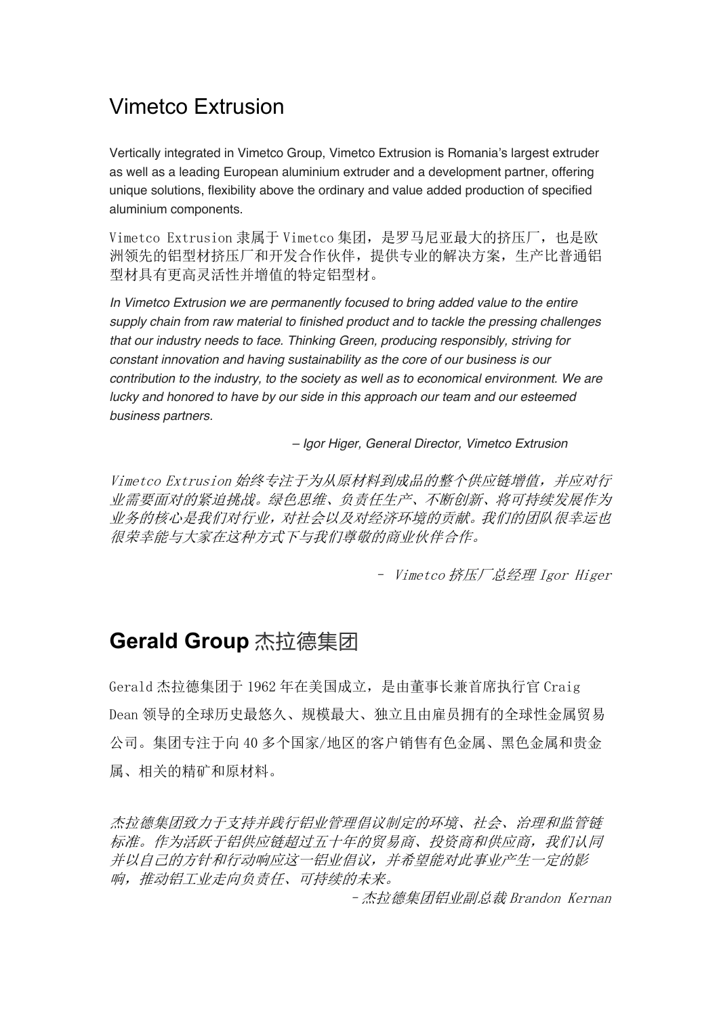## Vimetco Extrusion

Vertically integrated in Vimetco Group, Vimetco Extrusion is Romania's largest extruder as well as a leading European aluminium extruder and a development partner, offering unique solutions, flexibility above the ordinary and value added production of specified aluminium components.

Vimetco Extrusion 隶属于 Vimetco 集团, 是罗马尼亚最大的挤压厂, 也是欧 洲领先的铝型材挤压厂和开发合作伙伴,提供专业的解决方案,生产比普通铝 型材具有更高灵活性并增值的特定铝型材。

*In Vimetco Extrusion we are permanently focused to bring added value to the entire supply chain from raw material to finished product and to tackle the pressing challenges that our industry needs to face. Thinking Green, producing responsibly, striving for constant innovation and having sustainability as the core of our business is our contribution to the industry, to the society as well as to economical environment. We are lucky and honored to have by our side in this approach our team and our esteemed business partners.*

*– Igor Higer, General Director, Vimetco Extrusion*

Vimetco Extrusion 始终专注于为从原材料到成品的整个供应链增值,并应对行 业需要面对的紧迫挑战。绿色思维、负责任生产、不断创新、将可持续发展作为 业务的核心是我们对行业,对社会以及对经济环境的贡献。我们的团队很幸运也 很荣幸能与大家在这种方式下与我们尊敬的商业伙伴合作。

– Vimetco 挤压厂总经理 Igor Higer

### **Gerald Group** 杰拉德集团

Gerald 杰拉德集团于 1962 年在美国成立,是由董事长兼首席执行官 Craig Dean 领导的全球历史最悠久、规模最大、独立且由雇员拥有的全球性金属贸易 公司。集团专注于向 40 多个国家/地区的客户销售有色金属、黑色金属和贵金 属、相关的精矿和原材料。

杰拉德集团致力于支持并践行铝业管理倡议制定的环境、社会、治理和监管链 标准。作为活跃于铝供应链超过五十年的贸易商、投资商和供应商,我们认同 并以自己的方针和行动响应这一铝业倡议,并希望能对此事业产生一定的影 响,推动铝工业走向负责任、可持续的未来。

–杰拉德集团铝业副总裁 Brandon Kernan